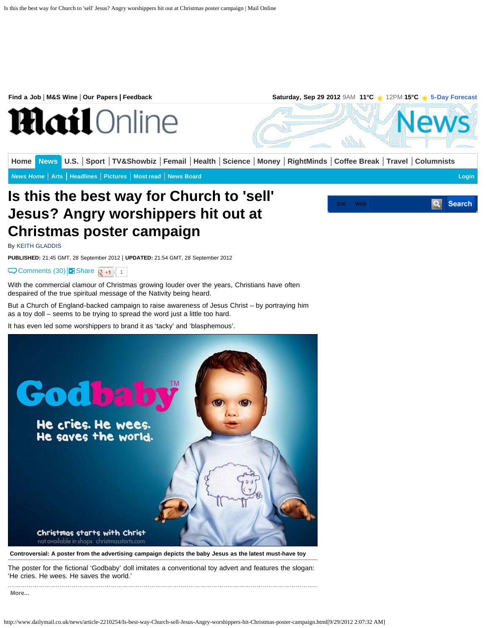## **Is this the best way for Church to 'sell' Jesus? Angry worshippers hit out at Christmas poster campaign**

By [KEITH GLADDIS](http://www.dailymail.co.uk/home/search.html?s=&authornamef=Keith+Gladdis)

**PUBLISHED:** 21:45 GMT, 28 September 2012 | **UPDATED:** 21:54 GMT, 28 September 2012

[Comments \(30\)](#page--1-0) **B** [Share](#page--1-1)  $\mathbf{Q}$  +1  $\leftarrow$  1

With the commercial clamour of Christmas growing louder over the years, Christians have often despaired of the true spiritual message of the Nativity being heard.

But a Church of England-backed campaign to raise awareness of Jesus Christ – by portraying him as a toy doll – seems to be trying to spread the word just a little too hard.

It has even led some worshippers to brand it as 'tacky' and 'blasphemous'.



**Controversial: A poster from the advertising campaign depicts the baby Jesus as the latest must-have toy**

The poster for the fictional 'Godbaby' doll imitates a conventional toy advert and features the slogan: 'He cries. He wees. He saves the world.'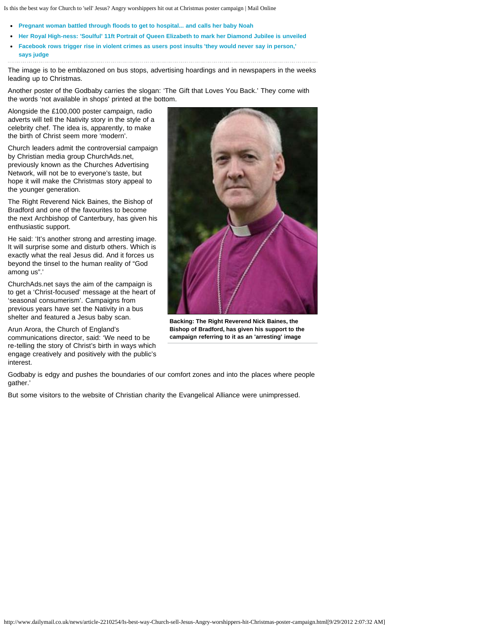Is this the best way for Church to 'sell' Jesus? Angry worshippers hit out at Christmas poster campaign | Mail Online

- **[Pregnant woman battled through floods to get to hospital... and calls her baby Noah](http://www.dailymail.co.uk/news/article-2210107/Pregnant-woman-battled-floods-to-hospital--calls-baby-Noah.html)**
- **[Her Royal High-ness: 'Soulful' 11ft Portrait of Queen Elizabeth to mark her Diamond Jubilee is unveiled](http://www.dailymail.co.uk/news/article-2210077/Tender-soulful-Portrait-Queen-Elizabeth-mark-Diamond-Jubilee-unveiled.html)**
- **[Facebook rows trigger rise in violent crimes as users post insults 'they would never say in person,'](http://www.dailymail.co.uk/news/article-2209881/Facebook-fuelling-violence-claims-judge.html) [says judge](http://www.dailymail.co.uk/news/article-2209881/Facebook-fuelling-violence-claims-judge.html)**

The image is to be emblazoned on bus stops, advertising hoardings and in newspapers in the weeks leading up to Christmas.

Another poster of the Godbaby carries the slogan: 'The Gift that Loves You Back.' They come with the words 'not available in shops' printed at the bottom.

Alongside the £100,000 poster campaign, radio adverts will tell the Nativity story in the style of a celebrity chef. The idea is, apparently, to make the birth of Christ seem more 'modern'.

Church leaders admit the controversial campaign by Christian media group ChurchAds.net, previously known as the Churches Advertising Network, will not be to everyone's taste, but hope it will make the Christmas story appeal to the younger generation.

The Right Reverend Nick Baines, the Bishop of Bradford and one of the favourites to become the next Archbishop of Canterbury, has given his enthusiastic support.

He said: 'It's another strong and arresting image. It will surprise some and disturb others. Which is exactly what the real Jesus did. And it forces us beyond the tinsel to the human reality of "God among us".'

ChurchAds.net says the aim of the campaign is to get a 'Christ-focused' message at the heart of 'seasonal consumerism'. Campaigns from previous years have set the Nativity in a bus shelter and featured a Jesus baby scan.

Arun Arora, the Church of England's communications director, said: 'We need to be re-telling the story of Christ's birth in ways which engage creatively and positively with the public's interest.



**Backing: The Right Reverend Nick Baines, the Bishop of Bradford, has given his support to the campaign referring to it as an 'arresting' image**

Godbaby is edgy and pushes the boundaries of our comfort zones and into the places where people gather.'

But some visitors to the website of Christian charity the Evangelical Alliance were unimpressed.